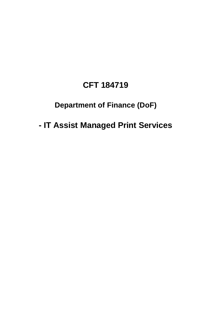# **CFT 184719**

# **Department of Finance (DoF)**

 **Department of Finance (DoF) - IT Assist Managed Print Services**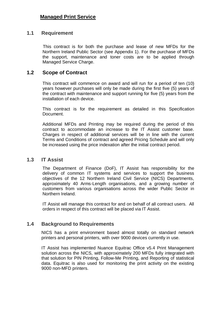# **Managed Print Service**

## **1.1 Requirement**

 Northern Ireland Public Sector (see Appendix 1). For the purchase of MFDs the support, maintenance and toner costs are to be applied through Managed Service Charge. This contract is for both the purchase and lease of new MFDs for the

## **1.2 Scope of Contract**

 This contract will commence on award and will run for a period of ten (10) years however purchases will only be made during the first five (5) years of the contract with maintenance and support running for five (5) years from the installation of each device.

 This contract is for the requirement as detailed in this Specification Document.

 Additional MFDs and Printing may be required during the period of this contract to accommodate an increase to the IT Assist customer base. Charges in respect of additional services will be in line with the current Terms and Conditions of contract and agreed Pricing Schedule and will only be increased using the price indexation after the initial contract period.

#### $1.3$ **1T Assist**

 The Department of Finance (DoF), IT Assist has responsibility for the delivery of common IT systems and services to support the business objectives of the 12 Northern Ireland Civil Service (NICS) Departments, approximately 40 Arms-Length organisations, and a growing number of customers from various organisations across the wider Public Sector in Northern Ireland.

Northern Ireland.<br>IT Assist will manage this contract for and on behalf of all contract users. All orders in respect of this contract will be placed via IT Assist.

# **1.4 Background to Requirements**

 NICS has a print environment based almost totally on standard network printers and personal printers, with over 9000 devices currently in use.

 IT Assist has implemented Nuance Equitrac Office v5.4 Print Management solution across the NICS, with approximately 200 MFDs fully integrated with that solution for PIN Printing, Follow-Me Printing, and Reporting of statistical data. Equitrac is also used for monitoring the print activity on the existing 9000 non-MFD printers.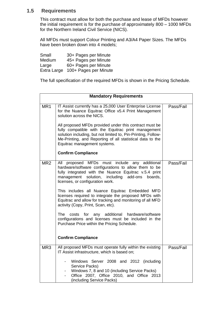# **1.5 Requirements**

 This contract must allow for both the purchase and lease of MFDs however for the Northern Ireland Civil Service (NICS). the initial requirement is for the purchase of approximately 800 – 1000 MFDs

 have been broken down into 4 models; All MFDs must support Colour Printing and A3/A4 Paper Sizes. The MFDs

Small Large Extra Large 100+ Pages per Minute 30+ Pages per Minute Medium 45+ Pages per Minute 60+ Pages per Minute

The full specification of the required MFDs is shown in the Pricing Schedule.

| <b>Mandatory Requirements</b> |                                                                                                                                                                                                                                                                                                                                                                                                                                                                                                                                                                                                                                                                                        |           |
|-------------------------------|----------------------------------------------------------------------------------------------------------------------------------------------------------------------------------------------------------------------------------------------------------------------------------------------------------------------------------------------------------------------------------------------------------------------------------------------------------------------------------------------------------------------------------------------------------------------------------------------------------------------------------------------------------------------------------------|-----------|
| MR1                           | IT Assist currently has a 25,000 User Enterprise License<br>for the Nuance Equitrac Office v5.4 Print Management<br>solution across the NICS.<br>All proposed MFDs provided under this contract must be<br>fully compatible with the Equitrac print management<br>solution including, but not limited to, Pin-Printing, Follow-<br>Me-Printing, and Reporting of all statistical data to the<br>Equitrac management systems.<br><b>Confirm Compliance</b>                                                                                                                                                                                                                              | Pass/Fail |
| MR <sub>2</sub>               | proposed MFDs must include any additional<br>All<br>hardware/software configurations to allow them to be<br>fully integrated with the Nuance Equitrac v.5.4 print<br>management solution,<br>including<br>add-ons<br>boards,<br>licenses, or configuration work.<br>This includes all Nuance Equitrac Embedded MFD<br>licenses required to integrate the proposed MFDs with<br>Equitrac and allow for tracking and monitoring of all MFD<br>activity (Copy, Print, Scan, etc).<br><b>The</b><br>for<br>any additional<br>hardware/software<br>costs<br>configurations and licenses must be included in the<br>Purchase Price within the Pricing Schedule.<br><b>Confirm Compliance</b> | Pass/Fail |
| MR <sub>3</sub>               | All proposed MFDs must operate fully within the existing<br>IT Assist infrastructure, which is based on;<br>Windows Server 2008 and 2012 (including<br>Service Packs)<br>Windows 7, 8 and 10 (including Service Packs)<br>Office 2007, Office 2010, and Office 2013<br>(including Service Packs)                                                                                                                                                                                                                                                                                                                                                                                       | Pass/Fail |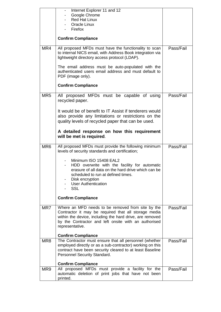|                 | Internet Explorer 11 and 12<br>Google Chrome<br><b>Red Hat Linux</b><br><b>Oracle Linux</b>                                                                                                                                                      |           |
|-----------------|--------------------------------------------------------------------------------------------------------------------------------------------------------------------------------------------------------------------------------------------------|-----------|
|                 | Firefox                                                                                                                                                                                                                                          |           |
|                 | <b>Confirm Compliance</b>                                                                                                                                                                                                                        |           |
| MR4             | All proposed MFDs must have the functionality to scan<br>to internal NICS email, with Address Book integration via<br>lightweight directory access protocol (LDAP).                                                                              | Pass/Fail |
|                 | The email address must be auto-populated with the<br>authenticated users email address and must default to<br>PDF (image only).                                                                                                                  |           |
|                 | <b>Confirm Compliance</b>                                                                                                                                                                                                                        |           |
| MR <sub>5</sub> | All proposed MFDs must be capable of using<br>recycled paper.                                                                                                                                                                                    | Pass/Fail |
|                 | It would be of benefit to IT Assist if tenderers would<br>also provide any limitations or restrictions on the<br>quality levels of recycled paper that can be used.                                                                              |           |
|                 | A detailed response on how this requirement<br>will be met is required.                                                                                                                                                                          |           |
| MR <sub>6</sub> | All proposed MFDs must provide the following minimum<br>levels of security standards and certification;                                                                                                                                          | Pass/Fail |
|                 | Minimum ISO 15408 EAL2<br>HDD overwrite with the facility for automatic<br>erasure of all data on the hard drive which can be<br>scheduled to run at defined times.<br>Disk encryption<br><b>User Authentication</b><br><b>SSL</b>               |           |
|                 | <b>Confirm Compliance</b>                                                                                                                                                                                                                        |           |
| MR7             | Where an MFD needs to be removed from site by the<br>Contractor it may be required that all storage media<br>within the device, including the hard drive, are removed<br>by the Contractor and left onsite with an authorised<br>representative. | Pass/Fail |
|                 | <b>Confirm Compliance</b>                                                                                                                                                                                                                        |           |
| MR <sub>8</sub> | The Contractor must ensure that all personnel (whether<br>employed directly or as a sub-contractor) working on this<br>contract have been security cleared to at least Baseline<br>Personnel Security Standard.                                  | Pass/Fail |
|                 | <b>Confirm Compliance</b>                                                                                                                                                                                                                        |           |
| MR9             | All proposed MFDs must provide a facility for the<br>automatic deletion of print jobs that have not been<br>printed.                                                                                                                             | Pass/Fail |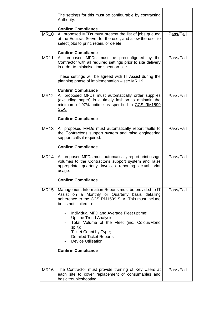|             | The settings for this must be configurable by contracting<br>Authority.                                                                                                                                                                                                                                                                                                                                                                            |           |
|-------------|----------------------------------------------------------------------------------------------------------------------------------------------------------------------------------------------------------------------------------------------------------------------------------------------------------------------------------------------------------------------------------------------------------------------------------------------------|-----------|
| <b>MR10</b> | <b>Confirm Compliance</b><br>All proposed MFDs must present the list of jobs queued<br>at the Equitrac Server for the user, and allow the user to<br>select jobs to print, retain, or delete.                                                                                                                                                                                                                                                      | Pass/Fail |
| <b>MR11</b> | <b>Confirm Compliance</b><br>All proposed MFDs must be preconfigured by the<br>Contractor with all required settings prior to site delivery<br>in order to minimise time spent on-site.<br>These settings will be agreed with IT Assist during the<br>planning phase of implementation - see MR 19.<br><b>Confirm Compliance</b>                                                                                                                   | Pass/Fail |
| <b>MR12</b> | All proposed MFDs must automatically order supplies<br>(excluding paper) in a timely fashion to maintain the<br>minimum of 97% uptime as specified in CCS RM1599<br>SLA.<br><b>Confirm Compliance</b>                                                                                                                                                                                                                                              | Pass/Fail |
| <b>MR13</b> | All proposed MFDs must automatically report faults to<br>the Contractor's support system and raise engineering<br>support calls if required.<br><b>Confirm Compliance</b>                                                                                                                                                                                                                                                                          | Pass/Fail |
| <b>MR14</b> | All proposed MFDs must automatically report print usage<br>volumes to the Contractor's support system and raise<br>appropriate quarterly invoices reporting actual print<br>usage.<br><b>Confirm Compliance</b>                                                                                                                                                                                                                                    | Pass/Fail |
| <b>MR15</b> | Management Information Reports must be provided to IT<br>Assist on a Monthly or Quarterly basis detailing<br>adherence to the CCS RM1599 SLA. This must include<br>but is not limited to:<br>Individual MFD and Average Fleet uptime;<br><b>Uptime Trend Analysis;</b><br>Total Volume of the Fleet (inc. Colour/Mono<br>split);<br>Ticket Count by Type;<br>- Detailed Ticket Reports;<br><b>Device Utilisation;</b><br><b>Confirm Compliance</b> | Pass/Fail |
| <b>MR16</b> | The Contractor must provide training of Key Users at<br>each site to cover replacement of consumables and<br>basic troubleshooting.                                                                                                                                                                                                                                                                                                                | Pass/Fail |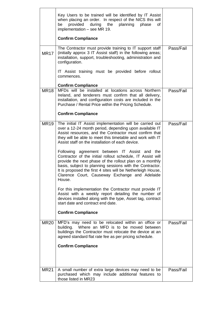|             | Key Users to be trained will be identified by IT Assist<br>when placing an order. In respect of the NICS this will<br>provided<br>during the planning phase<br>be<br>οf<br>implementation - see MR 19.<br><b>Confirm Compliance</b>                                                                                                                              |           |
|-------------|------------------------------------------------------------------------------------------------------------------------------------------------------------------------------------------------------------------------------------------------------------------------------------------------------------------------------------------------------------------|-----------|
| <b>MR17</b> | The Contractor must provide training to IT support staff<br>(initially approx 3 IT Assist staff) in the following areas;<br>installation, support, troubleshooting, administration and<br>configuration.                                                                                                                                                         | Pass/Fail |
|             | IT Assist training must be provided before rollout<br>commences.                                                                                                                                                                                                                                                                                                 |           |
|             | <b>Confirm Compliance</b>                                                                                                                                                                                                                                                                                                                                        |           |
| <b>MR18</b> | MFDs will be installed at locations across Northern<br>Ireland, and tenderers must confirm that all delivery,<br>installation, and configuration costs are included in the<br>Purchase / Rental Price within the Pricing Schedule.                                                                                                                               | Pass/Fail |
|             | <b>Confirm Compliance</b>                                                                                                                                                                                                                                                                                                                                        |           |
| <b>MR19</b> | The initial IT Assist implementation will be carried out<br>over a 12-24 month period, depending upon available IT<br>Assist resources, and the Contractor must confirm that<br>they will be able to meet this timetable and work with IT<br>Assist staff on the installation of each device.                                                                    | Pass/Fail |
|             | Following agreement between IT Assist and<br>the<br>Contractor of the initial rollout schedule, IT Assist will<br>provide the next phase of the rollout plan on a monthly<br>basis, subject to planning sessions with the Contractor.<br>It is proposed the first 4 sites will be Netherleigh House,<br>Clarence Court, Causeway Exchange and Adelaide<br>House. |           |
|             | For this implementation the Contractor must provide IT<br>Assist with a weekly report detailing the number of<br>devices installed along with the type, Asset tag, contract<br>start date and contract end date.                                                                                                                                                 |           |
|             | <b>Confirm Compliance</b>                                                                                                                                                                                                                                                                                                                                        |           |
| <b>MR20</b> | MFD's may need to be relocated within an office or<br>Where an MFD is to be moved between<br>building.<br>buildings the Contractor must relocate the device at an<br>agreed standard flat rate fee as per pricing schedule.                                                                                                                                      | Pass/Fail |
|             | <b>Confirm Compliance</b>                                                                                                                                                                                                                                                                                                                                        |           |
| <b>MR21</b> | A small number of extra large devices may need to be                                                                                                                                                                                                                                                                                                             | Pass/Fail |
|             | purchased which may include additional features to<br>those listed in MR23                                                                                                                                                                                                                                                                                       |           |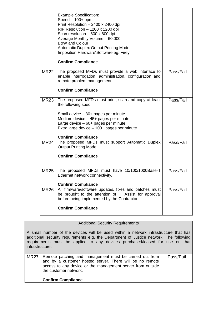|             | <b>Example Specification:</b><br>Speed $-100+$ ppm<br>Print Resolution - 2400 x 2400 dpi<br>RIP Resolution - 1200 x 1200 dpi<br>Scan resolution $-600 \times 600$ dpi<br>Average Monthly Volume - 60,000<br><b>B&amp;W</b> and Colour<br><b>Automatic Duplex Output Printing Mode</b><br>Imposition Hardware\Software eg: Firey<br><b>Confirm Compliance</b> |           |
|-------------|--------------------------------------------------------------------------------------------------------------------------------------------------------------------------------------------------------------------------------------------------------------------------------------------------------------------------------------------------------------|-----------|
| <b>MR22</b> | The proposed MFDs must provide a web interface to<br>enable interrogation, administration, configuration and<br>remote problem management.<br><b>Confirm Compliance</b>                                                                                                                                                                                      | Pass/Fail |
| <b>MR23</b> | The proposed MFDs must print, scan and copy at least<br>the following spec:<br>Small device $-30+$ pages per minute<br>Medium device $-45+$ pages per minute<br>Large device $-60+$ pages per minute<br>Extra large device - 100+ pages per minute<br><b>Confirm Compliance</b>                                                                              | Pass/Fail |
| <b>MR24</b> | The proposed MFDs must support Automatic Duplex<br><b>Output Printing Mode.</b><br><b>Confirm Compliance</b>                                                                                                                                                                                                                                                 | Pass/Fail |
| <b>MR25</b> | The proposed MFDs must have 10/100/1000Base-T<br>Ethernet network connectivity.<br><b>Confirm Compliance</b>                                                                                                                                                                                                                                                 | Pass/Fail |
| <b>MR26</b> | All firmware/software updates, fixes and patches must<br>be brought to the attention of IT Assist for approval<br>before being implemented by the Contractor.<br><b>Confirm Compliance</b>                                                                                                                                                                   | Pass/Fail |

### Additional Security Requirements

 A small number of the devices will be used within a network infrastructure that has  $\vdots$ additional security requirements e.g. the Department of Justice network. The following requirements must be applied to any devices purchased/leased for use on that infrastructure.

| MR27 Remote patching and management must be carried out from<br>and by a customer hosted server. There will be no remote<br>access to any device or the management server from outside<br>the customer network. | Pass/Fail |
|-----------------------------------------------------------------------------------------------------------------------------------------------------------------------------------------------------------------|-----------|
| <b>Confirm Compliance</b>                                                                                                                                                                                       |           |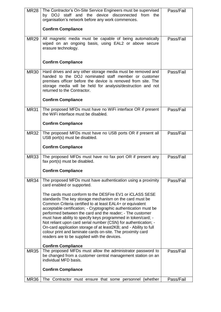| MR <sub>28</sub> | The Contractor's On-Site Service Engineers must be supervised<br>by DOJ staff and the device disconnected from<br>the<br>organisation's network before any work commences.                                                                                                                                                                                                                                                                                                                                                                                                                                                                | Pass/Fail |
|------------------|-------------------------------------------------------------------------------------------------------------------------------------------------------------------------------------------------------------------------------------------------------------------------------------------------------------------------------------------------------------------------------------------------------------------------------------------------------------------------------------------------------------------------------------------------------------------------------------------------------------------------------------------|-----------|
|                  | <b>Confirm Compliance</b>                                                                                                                                                                                                                                                                                                                                                                                                                                                                                                                                                                                                                 |           |
| <b>MR29</b>      | All magnetic media must be capable of being automatically<br>wiped on an ongoing basis, using EAL2 or above secure<br>erasure technology.                                                                                                                                                                                                                                                                                                                                                                                                                                                                                                 | Pass/Fail |
|                  | <b>Confirm Compliance</b>                                                                                                                                                                                                                                                                                                                                                                                                                                                                                                                                                                                                                 |           |
| <b>MR30</b>      | Hard drives and any other storage media must be removed and<br>handed to the DOJ nominated staff member or customer<br>premises officer before the device is removed from site. The<br>storage media will be held for analysis/destruction and not<br>returned to the Contractor.                                                                                                                                                                                                                                                                                                                                                         | Pass/Fail |
|                  | <b>Confirm Compliance</b>                                                                                                                                                                                                                                                                                                                                                                                                                                                                                                                                                                                                                 |           |
| <b>MR31</b>      | The proposed MFDs must have no WiFi interface OR if present<br>the WiFi interface must be disabled.                                                                                                                                                                                                                                                                                                                                                                                                                                                                                                                                       | Pass/Fail |
|                  | <b>Confirm Compliance</b>                                                                                                                                                                                                                                                                                                                                                                                                                                                                                                                                                                                                                 |           |
| <b>MR32</b>      | The proposed MFDs must have no USB ports OR if present all<br>USB port(s) must be disabled.                                                                                                                                                                                                                                                                                                                                                                                                                                                                                                                                               | Pass/Fail |
|                  | <b>Confirm Compliance</b>                                                                                                                                                                                                                                                                                                                                                                                                                                                                                                                                                                                                                 |           |
| <b>MR33</b>      | The proposed MFDs must have no fax port OR if present any<br>fax port(s) must be disabled.                                                                                                                                                                                                                                                                                                                                                                                                                                                                                                                                                | Pass/Fail |
|                  | <b>Confirm Compliance</b>                                                                                                                                                                                                                                                                                                                                                                                                                                                                                                                                                                                                                 |           |
| <b>MR34</b>      | The proposed MFDs must have authentication using a proximity<br>card enabled or supported.                                                                                                                                                                                                                                                                                                                                                                                                                                                                                                                                                | Pass/Fail |
|                  | The cards must conform to the DESFire EV1 or iCLASS SESE<br>standards The key storage mechanism on the card must be<br>Common Criteria certified to at least EAL4+ or equivalent<br>acceptable certification; - Cryptographic authentication must be<br>performed between the card and the reader; - The customer<br>must have ability to specify keys programmed in token/card; -<br>Not reliant upon card serial number (CSN) for authentication; -<br>On-card application storage of at least2KB; and - Ability to full<br>colour print and laminate cards on-site. The proximity card<br>readers are to be supplied with the devices. |           |
|                  | <b>Confirm Compliance</b>                                                                                                                                                                                                                                                                                                                                                                                                                                                                                                                                                                                                                 | Pass/Fail |
| <b>MR35</b>      | The proposed MFDs must allow the administrator password to<br>be changed from a customer central management station on an<br>individual MFD basis.                                                                                                                                                                                                                                                                                                                                                                                                                                                                                        |           |
|                  | <b>Confirm Compliance</b>                                                                                                                                                                                                                                                                                                                                                                                                                                                                                                                                                                                                                 |           |
| <b>MR36</b>      | The Contractor must ensure that some personnel (whether                                                                                                                                                                                                                                                                                                                                                                                                                                                                                                                                                                                   | Pass/Fail |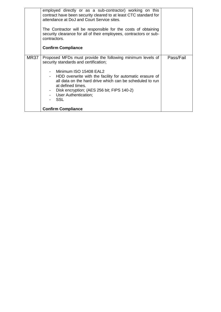|      | employed directly or as a sub-contractor) working on this<br>contract have been security cleared to at least CTC standard for<br>attendance at DoJ and Court Service sites.<br>The Contractor will be responsible for the costs of obtaining<br>security clearance for all of their employees, contractors or sub-<br>contractors.<br><b>Confirm Compliance</b>                          |           |
|------|------------------------------------------------------------------------------------------------------------------------------------------------------------------------------------------------------------------------------------------------------------------------------------------------------------------------------------------------------------------------------------------|-----------|
| MR37 | Proposed MFDs must provide the following minimum levels of<br>security standards and certification;<br>- Minimum ISO 15408 EAL2<br>- HDD overwrite with the facility for automatic erasure of<br>all data on the hard drive which can be scheduled to run<br>at defined times.<br>Disk encryption; (AES 256 bit; FIPS 140-2)<br>User Authentication;<br>SSL<br><b>Confirm Compliance</b> | Pass/Fail |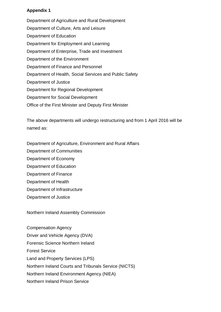### **Appendix 1**

 Department of Culture, Arts and Leisure Department of Agriculture and Rural Development Department of Education Department for Employment and Learning Department of Enterprise, Trade and Investment Department of the Environment Department of Finance and Personnel Department of Health, Social Services and Public Safety Department of Justice Department for Regional Development Department for Social Development Office of the First Minister and Deputy First Minister

The above departments will undergo restructuring and from 1 April 2016 will be named as:

Department of Agriculture, Environment and Rural Affairs

- Department of Communities
- Department of Economy
- Department of Education
- Department of Finance
- Department of Health
- Department of Infrastructure
- Department of Justice

Northern Ireland Assembly Commission

Compensation Agency Driver and Vehicle Agency (DVA) Forensic Science Northern Ireland Forest Service Land and Property Services (LPS) Northern Ireland Courts and Tribunals Service (NICTS) Northern Ireland Environment Agency (NIEA) Northern Ireland Prison Service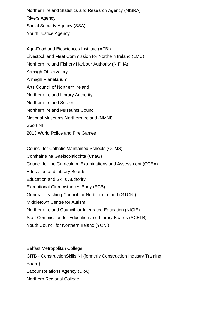Northern Ireland Statistics and Research Agency (NISRA) Rivers Agency Social Security Agency (SSA) Youth Justice Agency

 Livestock and Meat Commission for Northern Ireland (LMC) 2013 World Police and Fire Games Agri-Food and Biosciences Institute (AFBI) Northern Ireland Fishery Harbour Authority (NIFHA) Armagh Observatory Armagh Planetarium Arts Council of Northern Ireland Northern Ireland Library Authority Northern Ireland Screen Northern Ireland Museums Council National Museums Northern Ireland (NMNI) Sport NI

Council for Catholic Maintained Schools (CCMS)

Comhairle na Gaelscolaiochta (CnaG)

Council for the Curriculum, Examinations and Assessment (CCEA)

Education and Library Boards

Education and Skills Authority

Exceptional Circumstances Body (ECB)

General Teaching Council for Northern Ireland (GTCNI)

Middletown Centre for Autism

Northern Ireland Council for Integrated Education (NICIE)

Staff Commission for Education and Library Boards (SCELB)

Youth Council for Northern Ireland (YCNI)

 CITB - ConstructionSkills NI (formerly Construction Industry Training Belfast Metropolitan College Board) Labour Relations Agency (LRA) Northern Regional College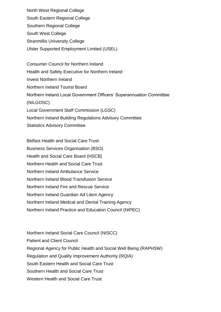North West Regional College South Eastern Regional College Southern Regional College South West College Stranmillis University College Ulster Supported Employment Limited (USEL)

 Health and Safety Executive for Northern Ireland Consumer Council for Northern Ireland Invest Northern Ireland Northern Ireland Tourist Board Northern Ireland Local Government Officers' Superannuation Committee (NILGOSC) Local Government Staff Commission (LGSC) Northern Ireland Building Regulations Advisory Committee Statistics Advisory Committee

 Belfast Health and Social Care Trust Business Services Organisation (BSO) Northern Ireland Medical and Dental Training Agency Health and Social Care Board (HSCB) Northern Health and Social Care Trust Northern Ireland Ambulance Service Northern Ireland Blood Transfusion Service Northern Ireland Fire and Rescue Service Northern Ireland Guardian Ad Litem Agency Northern Ireland Practice and Education Council (NIPEC)

 Regional Agency for Public Health and Social Well Being (RAPHSW) South Eastern Health and Social Care Trust Southern Health and Social Care Trust Northern Ireland Social Care Council (NISCC) Patient and Client Council Regulation and Quality Improvement Authority (RQIA) Western Health and Social Care Trust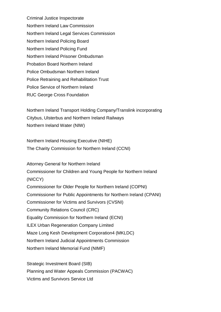Probation Board Northern Ireland Police Ombudsman Northern Ireland Police Retraining and Rehabilitation Trust Police Service of Northern Ireland Criminal Justice Inspectorate Northern Ireland Law Commission Northern Ireland Legal Services Commission Northern Ireland Policing Board Northern Ireland Policing Fund Northern Ireland Prisoner Ombudsman RUC George Cross Foundation

Northern Ireland Transport Holding Company/Translink incorporating Citybus, Ulsterbus and Northern Ireland Railways Northern Ireland Water (NIW)

 The Charity Commission for Northern Ireland (CCNI) Northern Ireland Housing Executive (NIHE)

 Commissioner for Children and Young People for Northern Ireland Community Relations Council (CRC) Equality Commission for Northern Ireland (ECNI) Attorney General for Northern Ireland (NICCY) Commissioner for Older People for Northern Ireland (COPNI) Commissioner for Public Appointments for Northern Ireland (CPANI) Commissioner for Victims and Survivors (CVSNI) ILEX Urban Regeneration Company Limited Maze Long Kesh Development Corporation4 (MKLDC) Northern Ireland Judicial Appointments Commission Northern Ireland Memorial Fund (NIMF)

Strategic Investment Board (SIB) Planning and Water Appeals Commission (PACWAC) Victims and Survivors Service Ltd